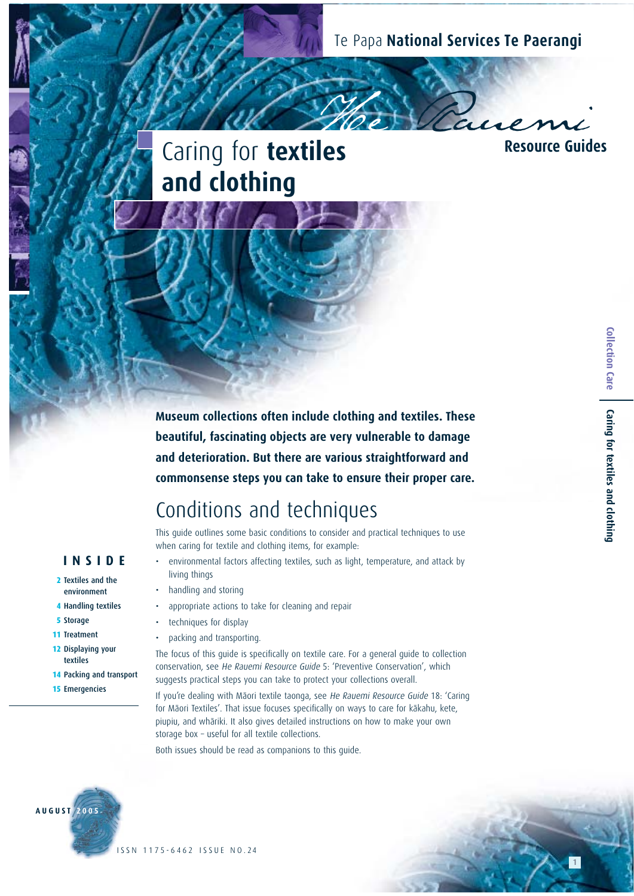Te Papa **National Services Te Paerangi** 

# Caring for **textiles and clothing**

**Hes** Resource Guides **Resource Guides**

**Museum collections often include clothing and textiles. These beautiful, fascinating objects are very vulnerable to damage and deterioration. But there are various straightforward and commonsense steps you can take to ensure their proper care.**

# Conditions and techniques

This guide outlines some basic conditions to consider and practical techniques to use when caring for textile and clothing items, for example:

- environmental factors affecting textiles, such as light, temperature, and attack by living things
- handling and storing
- appropriate actions to take for cleaning and repair
- techniques for display
- packing and transporting.

The focus of this quide is specifically on textile care. For a general quide to collection conservation, see He Rauemi Resource Guide 5: 'Preventive Conservation', which suggests practical steps you can take to protect your collections overall.

If you're dealing with Mäori textile taonga, see He Rauemi Resource Guide 18: 'Caring for Māori Textiles'. That issue focuses specifically on ways to care for kākahu, kete, piupiu, and whäriki. It also gives detailed instructions on how to make your own storage box – useful for all textile collections.

Both issues should be read as companions to this guide.



**INSIDE 2** Textiles and the environment  **4** Handling textiles

**14** Packing and transport

**15** Emergencies

 **5** Storage **11** Treatment **12** Displaying your textiles

1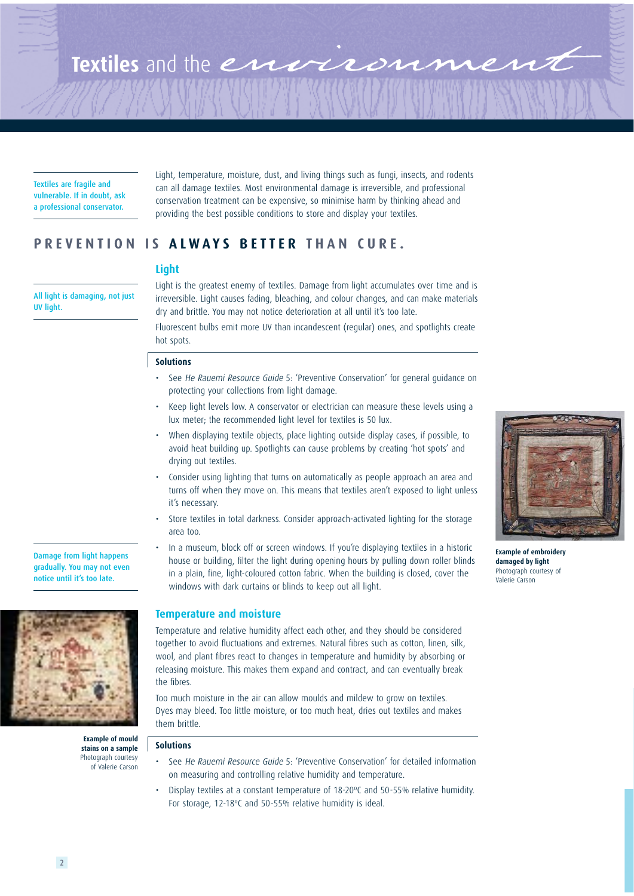

Textiles are fragile and vulnerable. If in doubt, ask a professional conservator.

Light, temperature, moisture, dust, and living things such as fungi, insects, and rodents can all damage textiles. Most environmental damage is irreversible, and professional conservation treatment can be expensive, so minimise harm by thinking ahead and providing the best possible conditions to store and display your textiles.

# **PREVENTION IS ALWAYS BETTER THAN CURE.**

# **Light**

All light is damaging, not just UV light.

Damage from light happens gradually. You may not even notice until it's too late.

Light is the greatest enemy of textiles. Damage from light accumulates over time and is irreversible. Light causes fading, bleaching, and colour changes, and can make materials dry and brittle. You may not notice deterioration at all until it's too late.

Fluorescent bulbs emit more UV than incandescent (regular) ones, and spotlights create hot spots.

### **Solutions**

- See He Rauemi Resource Guide 5: 'Preventive Conservation' for general guidance on protecting your collections from light damage.
- Keep light levels low. A conservator or electrician can measure these levels using a lux meter; the recommended light level for textiles is 50 lux.
- When displaying textile objects, place lighting outside display cases, if possible, to avoid heat building up. Spotlights can cause problems by creating 'hot spots' and drying out textiles.
- Consider using lighting that turns on automatically as people approach an area and turns off when they move on. This means that textiles aren't exposed to light unless it's necessary.
- Store textiles in total darkness. Consider approach-activated lighting for the storage area too.
- In a museum, block off or screen windows. If you're displaying textiles in a historic house or building, filter the light during opening hours by pulling down roller blinds in a plain, fine, light-coloured cotton fabric. When the building is closed, cover the windows with dark curtains or blinds to keep out all light.

# **Temperature and moisture**

Temperature and relative humidity affect each other, and they should be considered together to avoid fluctuations and extremes. Natural fibres such as cotton, linen, silk, wool, and plant fibres react to changes in temperature and humidity by absorbing or releasing moisture. This makes them expand and contract, and can eventually break the fibres.

Too much moisture in the air can allow moulds and mildew to grow on textiles. Dyes may bleed. Too little moisture, or too much heat, dries out textiles and makes them brittle.

#### **Solutions Example of mould stains on a sample**

Photograph courtesy of Valerie Carson

- See He Rauemi Resource Guide 5: 'Preventive Conservation' for detailed information on measuring and controlling relative humidity and temperature.
- Display textiles at a constant temperature of 18-20ºC and 50-55% relative humidity. For storage, 12-18ºC and 50-55% relative humidity is ideal.



**Example of embroidery damaged by light** Photograph courtesy of Valerie Carson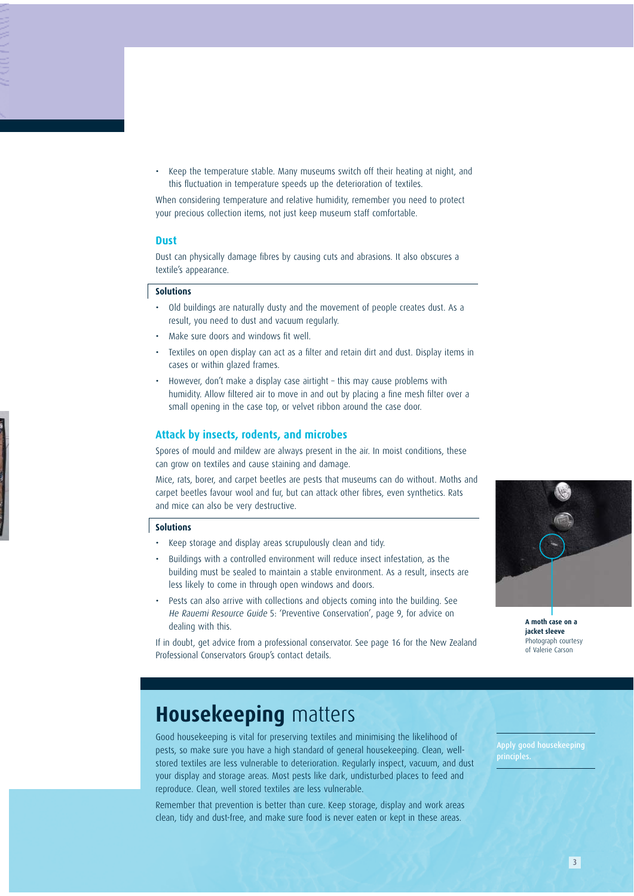• Keep the temperature stable. Many museums switch off their heating at night, and this fluctuation in temperature speeds up the deterioration of textiles.

When considering temperature and relative humidity, remember you need to protect your precious collection items, not just keep museum staff comfortable.

### **Dust**

Dust can physically damage fibres by causing cuts and abrasions. It also obscures a textile's appearance.

### **Solutions**

- Old buildings are naturally dusty and the movement of people creates dust. As a result, you need to dust and vacuum regularly.
- Make sure doors and windows fit well.
- Textiles on open display can act as a filter and retain dirt and dust. Display items in cases or within glazed frames.
- However, don't make a display case airtight this may cause problems with humidity. Allow filtered air to move in and out by placing a fine mesh filter over a small opening in the case top, or velvet ribbon around the case door.

### **Attack by insects, rodents, and microbes**

Spores of mould and mildew are always present in the air. In moist conditions, these can grow on textiles and cause staining and damage.

Mice, rats, borer, and carpet beetles are pests that museums can do without. Moths and carpet beetles favour wool and fur, but can attack other fibres, even synthetics. Rats and mice can also be very destructive.

### **Solutions**

- Keep storage and display areas scrupulously clean and tidy.
- Buildings with a controlled environment will reduce insect infestation, as the building must be sealed to maintain a stable environment. As a result, insects are less likely to come in through open windows and doors.
- Pests can also arrive with collections and objects coming into the building. See He Rauemi Resource Guide 5: 'Preventive Conservation', page 9, for advice on dealing with this.

**A moth case on a** 

**jacket sleeve** Photograph courtesy of Valerie Carson

If in doubt, get advice from a professional conservator. See page 16 for the New Zealand Professional Conservators Group's contact details.

# **Housekeeping** matters

Good housekeeping is vital for preserving textiles and minimising the likelihood of pests, so make sure you have a high standard of general housekeeping. Clean, wellstored textiles are less vulnerable to deterioration. Regularly inspect, vacuum, and dust your display and storage areas. Most pests like dark, undisturbed places to feed and reproduce. Clean, well stored textiles are less vulnerable.

Remember that prevention is better than cure. Keep storage, display and work areas clean, tidy and dust-free, and make sure food is never eaten or kept in these areas.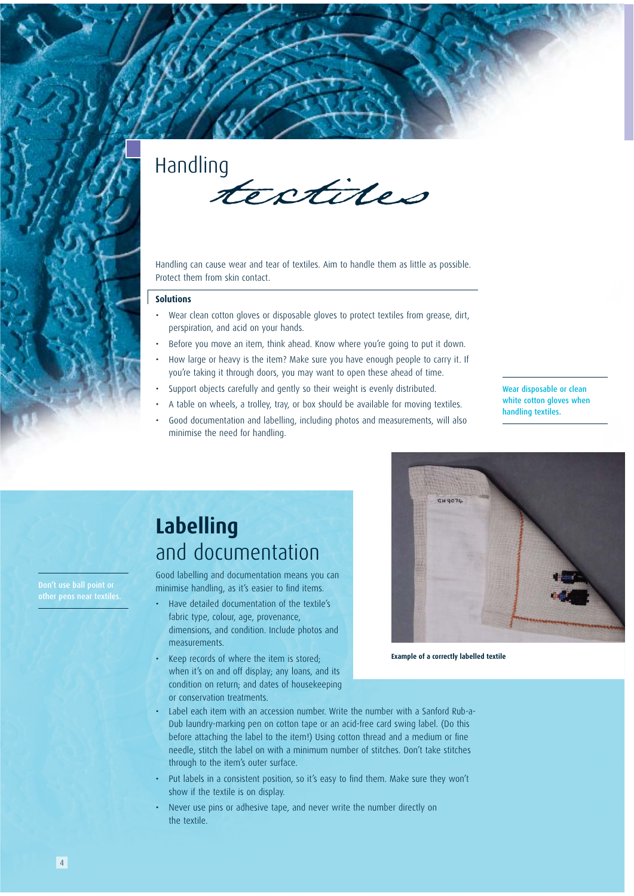

Handling can cause wear and tear of textiles. Aim to handle them as little as possible. Protect them from skin contact.

### **Solutions**

- Wear clean cotton gloves or disposable gloves to protect textiles from grease, dirt, perspiration, and acid on your hands.
- Before you move an item, think ahead. Know where you're going to put it down.
- How large or heavy is the item? Make sure you have enough people to carry it. If you're taking it through doors, you may want to open these ahead of time.
- Support objects carefully and gently so their weight is evenly distributed.
- A table on wheels, a trolley, tray, or box should be available for moving textiles.
- Good documentation and labelling, including photos and measurements, will also minimise the need for handling.

Wear disposable or clean white cotton gloves when handling textiles.

# **Labelling** and documentation

Good labelling and documentation means you can minimise handling, as it's easier to find items.

- Have detailed documentation of the textile's fabric type, colour, age, provenance, dimensions, and condition. Include photos and measurements.
- Keep records of where the item is stored; when it's on and off display; any loans, and its condition on return; and dates of housekeeping or conservation treatments.



**Example of a correctly labelled textile**

- Label each item with an accession number. Write the number with a Sanford Rub-a-Dub laundry-marking pen on cotton tape or an acid-free card swing label. (Do this before attaching the label to the item!) Using cotton thread and a medium or fine needle, stitch the label on with a minimum number of stitches. Don't take stitches through to the item's outer surface.
- Put labels in a consistent position, so it's easy to find them. Make sure they won't show if the textile is on display.
- Never use pins or adhesive tape, and never write the number directly on the textile.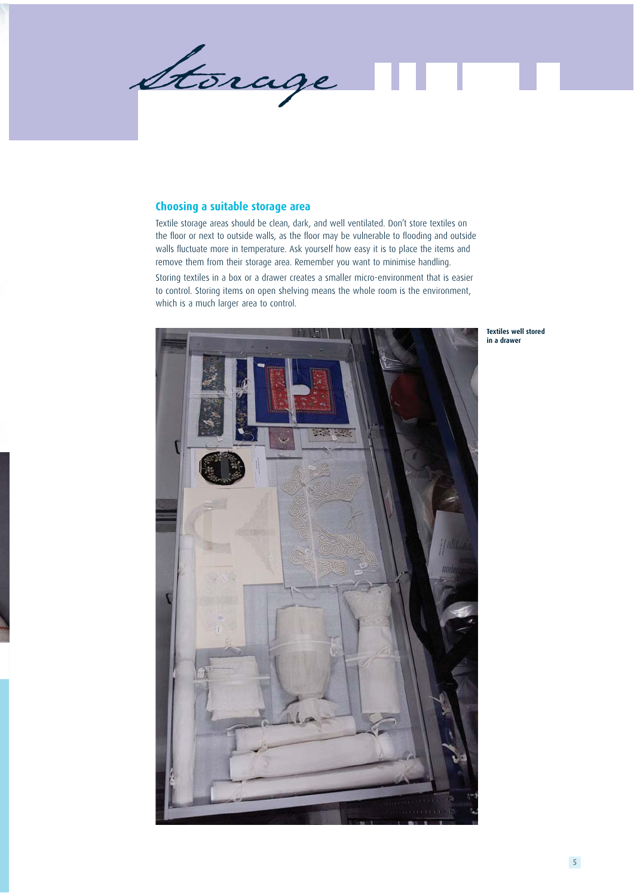Storage П л.

# **Choosing a suitable storage area**

Textile storage areas should be clean, dark, and well ventilated. Don't store textiles on the floor or next to outside walls, as the floor may be vulnerable to flooding and outside walls fluctuate more in temperature. Ask yourself how easy it is to place the items and remove them from their storage area. Remember you want to minimise handling.

Storing textiles in a box or a drawer creates a smaller micro-environment that is easier to control. Storing items on open shelving means the whole room is the environment, which is a much larger area to control.



**Textiles well stored in a drawer**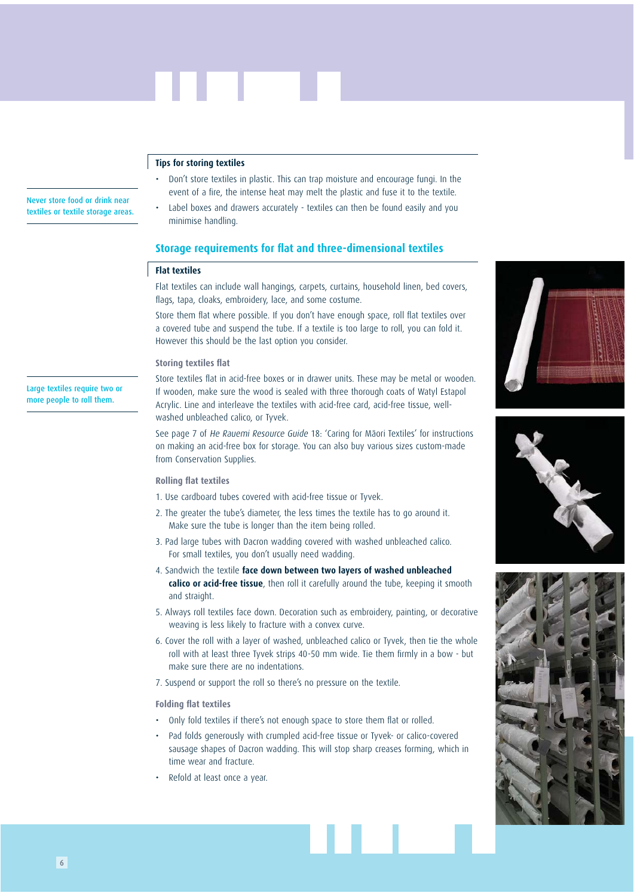# **Tips for storing textiles**

- Don't store textiles in plastic. This can trap moisture and encourage fungi. In the event of a fire, the intense heat may melt the plastic and fuse it to the textile.
- Label boxes and drawers accurately textiles can then be found easily and you minimise handling.

### **Storage requirements for flat and three-dimensional textiles**

### **Flat textiles**

Flat textiles can include wall hangings, carpets, curtains, household linen, bed covers, flags, tapa, cloaks, embroidery, lace, and some costume.

Store them flat where possible. If you don't have enough space, roll flat textiles over a covered tube and suspend the tube. If a textile is too large to roll, you can fold it. However this should be the last option you consider.

#### **Storing textiles flat**

Large textiles require two or more people to roll them.

Never store food or drink near textiles or textile storage areas.

> Store textiles flat in acid-free boxes or in drawer units. These may be metal or wooden. If wooden, make sure the wood is sealed with three thorough coats of Watyl Estapol Acrylic. Line and interleave the textiles with acid-free card, acid-free tissue, wellwashed unbleached calico, or Tyvek.

> See page 7 of He Rauemi Resource Guide 18: 'Caring for Mäori Textiles' for instructions on making an acid-free box for storage. You can also buy various sizes custom-made from Conservation Supplies.

### **Rolling flat textiles**

- 1. Use cardboard tubes covered with acid-free tissue or Tyvek.
- 2. The greater the tube's diameter, the less times the textile has to go around it. Make sure the tube is longer than the item being rolled.
- 3. Pad large tubes with Dacron wadding covered with washed unbleached calico. For small textiles, you don't usually need wadding.
- 4. Sandwich the textile **face down between two layers of washed unbleached calico or acid-free tissue**, then roll it carefully around the tube, keeping it smooth and straight.
- 5. Always roll textiles face down. Decoration such as embroidery, painting, or decorative weaving is less likely to fracture with a convex curve.
- 6. Cover the roll with a layer of washed, unbleached calico or Tyvek, then tie the whole roll with at least three Tyvek strips 40-50 mm wide. Tie them firmly in a bow - but make sure there are no indentations.
- 7. Suspend or support the roll so there's no pressure on the textile.

### **Folding flat textiles**

- Only fold textiles if there's not enough space to store them flat or rolled.
- Pad folds generously with crumpled acid-free tissue or Tyvek- or calico-covered sausage shapes of Dacron wadding. This will stop sharp creases forming, which in time wear and fracture.
- Refold at least once a year.





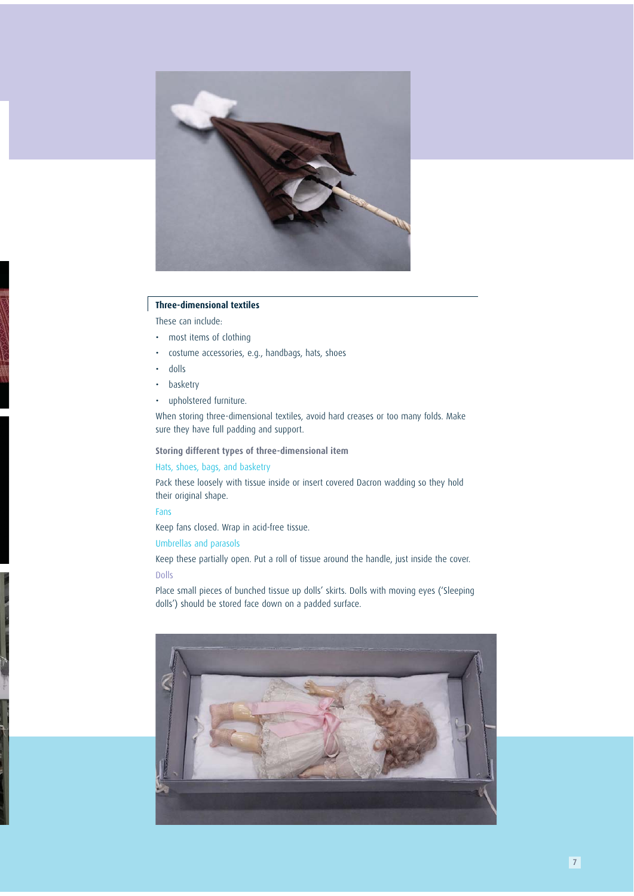

# **Three-dimensional textiles**

These can include:

- most items of clothing
- costume accessories, e.g., handbags, hats, shoes
- dolls
- basketry
- upholstered furniture.

When storing three-dimensional textiles, avoid hard creases or too many folds. Make sure they have full padding and support.

**Storing different types of three-dimensional item**

# Hats, shoes, bags, and basketry

Pack these loosely with tissue inside or insert covered Dacron wadding so they hold their original shape.

# Fans

Keep fans closed. Wrap in acid-free tissue.

# Umbrellas and parasols

Keep these partially open. Put a roll of tissue around the handle, just inside the cover. Dolls

Place small pieces of bunched tissue up dolls' skirts. Dolls with moving eyes ('Sleeping dolls') should be stored face down on a padded surface.

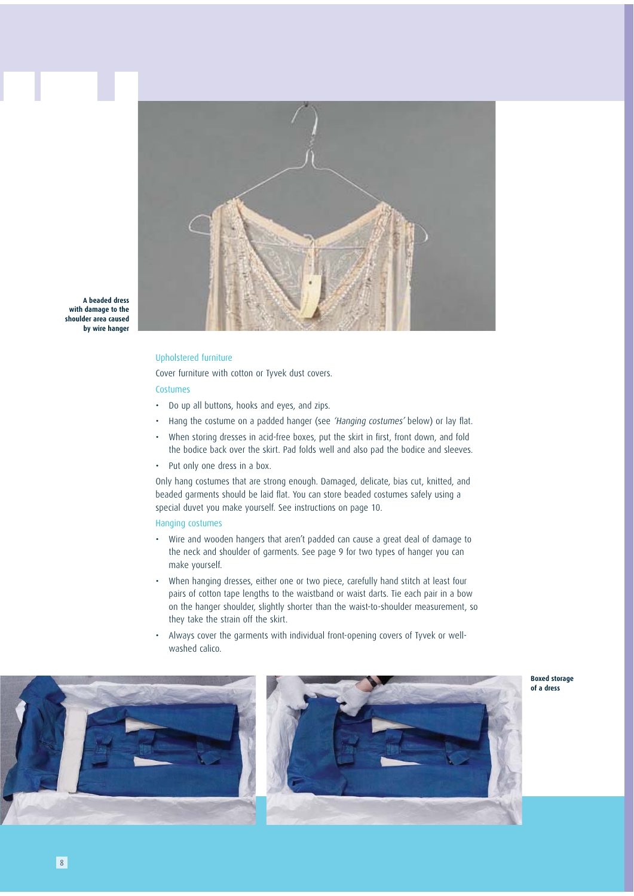

**A beaded dress with damage to the shoulder area caused by wire hanger**

### Upholstered furniture

Cover furniture with cotton or Tyvek dust covers.

### Costumes

- Do up all buttons, hooks and eyes, and zips.
- Hang the costume on a padded hanger (see 'Hanging costumes' below) or lay flat.
- When storing dresses in acid-free boxes, put the skirt in first, front down, and fold the bodice back over the skirt. Pad folds well and also pad the bodice and sleeves.
- Put only one dress in a box.

Only hang costumes that are strong enough. Damaged, delicate, bias cut, knitted, and beaded garments should be laid flat. You can store beaded costumes safely using a special duvet you make yourself. See instructions on page 10.

### Hanging costumes

- Wire and wooden hangers that aren't padded can cause a great deal of damage to the neck and shoulder of garments. See page 9 for two types of hanger you can make yourself.
- When hanging dresses, either one or two piece, carefully hand stitch at least four pairs of cotton tape lengths to the waistband or waist darts. Tie each pair in a bow on the hanger shoulder, slightly shorter than the waist-to-shoulder measurement, so they take the strain off the skirt.
- Always cover the garments with individual front-opening covers of Tyvek or wellwashed calico.



**Boxed storage of a dress**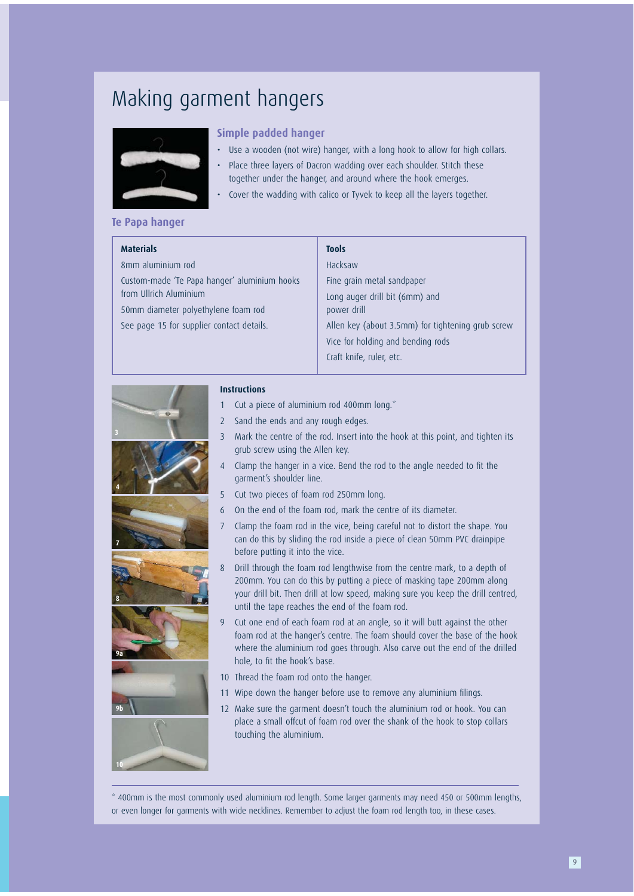# Making garment hangers



# **Simple padded hanger**

- Use a wooden (not wire) hanger, with a long hook to allow for high collars.
- Place three layers of Dacron wadding over each shoulder. Stitch these together under the hanger, and around where the hook emerges.
- Cover the wadding with calico or Tyvek to keep all the layers together.

# **Te Papa hanger**

| <b>Materials</b>                             | <b>Tools</b>                                      |  |
|----------------------------------------------|---------------------------------------------------|--|
| 8mm aluminium rod                            | Hacksaw                                           |  |
| Custom-made 'Te Papa hanger' aluminium hooks | Fine grain metal sandpaper                        |  |
| from Ullrich Aluminium                       | Long auger drill bit (6mm) and                    |  |
| 50mm diameter polyethylene foam rod          | power drill                                       |  |
| See page 15 for supplier contact details.    | Allen key (about 3.5mm) for tightening grub screw |  |
|                                              | Vice for holding and bending rods                 |  |
|                                              | Craft knife, ruler, etc.                          |  |
|                                              |                                                   |  |













# **Instructions**

- 1 Cut a piece of aluminium rod 400mm long.\*
- 2 Sand the ends and any rough edges.
- 3 Mark the centre of the rod. Insert into the hook at this point, and tighten its grub screw using the Allen key.
- 4 Clamp the hanger in a vice. Bend the rod to the angle needed to fit the garment's shoulder line.
- 5 Cut two pieces of foam rod 250mm long.
- 6 On the end of the foam rod, mark the centre of its diameter.
- 7 Clamp the foam rod in the vice, being careful not to distort the shape. You can do this by sliding the rod inside a piece of clean 50mm PVC drainpipe before putting it into the vice.
- 8 Drill through the foam rod lengthwise from the centre mark, to a depth of 200mm. You can do this by putting a piece of masking tape 200mm along your drill bit. Then drill at low speed, making sure you keep the drill centred, until the tape reaches the end of the foam rod.
- 9 Cut one end of each foam rod at an angle, so it will butt against the other foam rod at the hanger's centre. The foam should cover the base of the hook where the aluminium rod goes through. Also carve out the end of the drilled hole, to fit the hook's base.
- 10 Thread the foam rod onto the hanger.
- 11 Wipe down the hanger before use to remove any aluminium filings.
- 12 Make sure the garment doesn't touch the aluminium rod or hook. You can place a small offcut of foam rod over the shank of the hook to stop collars touching the aluminium.

\* 400mm is the most commonly used aluminium rod length. Some larger garments may need 450 or 500mm lengths, or even longer for garments with wide necklines. Remember to adjust the foam rod length too, in these cases.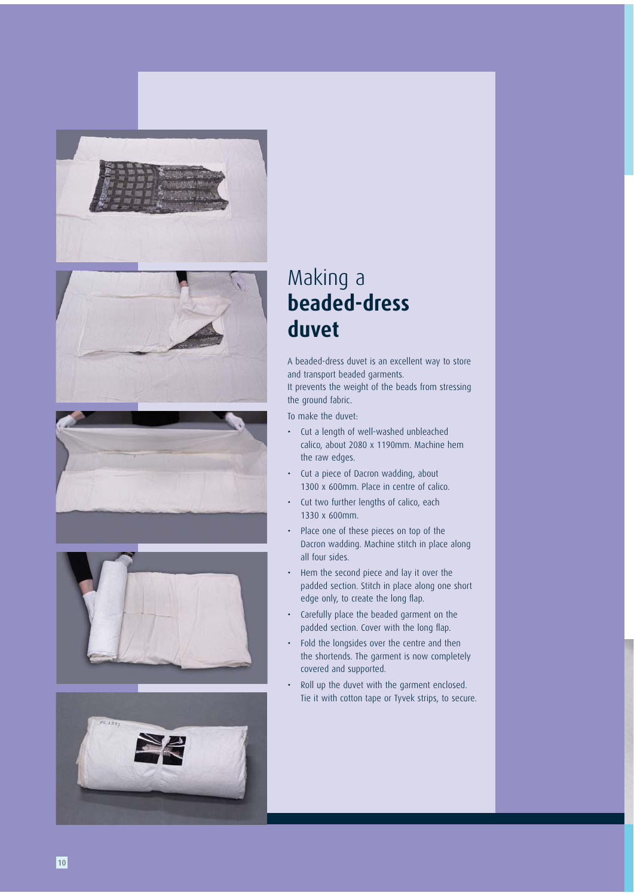









# Making a **beaded-dress duvet**

A beaded-dress duvet is an excellent way to store and transport beaded garments. It prevents the weight of the beads from stressing the ground fabric.

To make the duvet:

- Cut a length of well-washed unbleached calico, about 2080 x 1190mm. Machine hem the raw edges.
- Cut a piece of Dacron wadding, about 1300 x 600mm. Place in centre of calico.
- Cut two further lengths of calico, each 1330 x 600mm.
- Place one of these pieces on top of the Dacron wadding. Machine stitch in place along all four sides.
- Hem the second piece and lay it over the padded section. Stitch in place along one short edge only, to create the long flap.
- Carefully place the beaded garment on the padded section. Cover with the long flap.
- Fold the longsides over the centre and then the shortends. The garment is now completely covered and supported.
- Roll up the duvet with the garment enclosed. Tie it with cotton tape or Tyvek strips, to secure.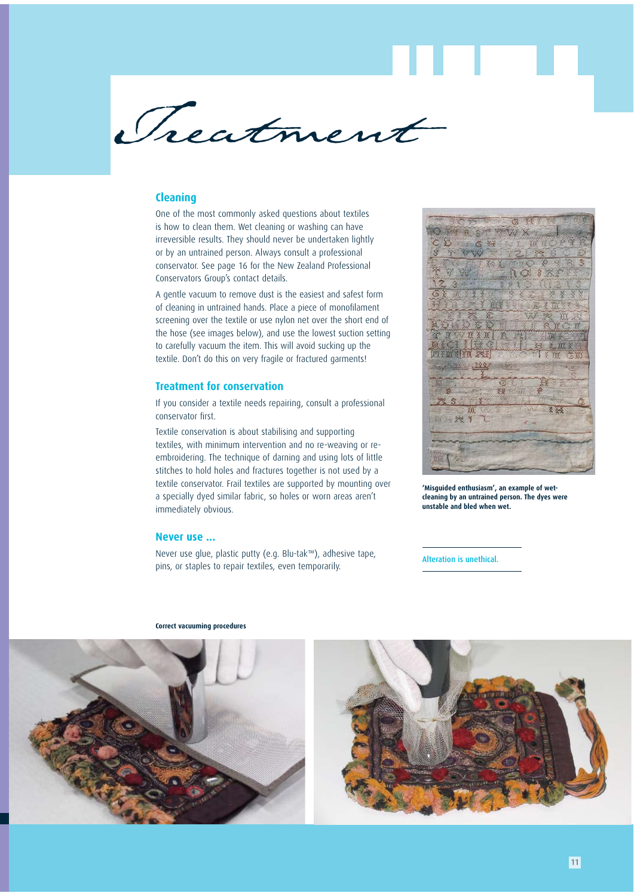

# **Cleaning**

One of the most commonly asked questions about textiles is how to clean them. Wet cleaning or washing can have irreversible results. They should never be undertaken lightly or by an untrained person. Always consult a professional conservator. See page 16 for the New Zealand Professional Conservators Group's contact details.

A gentle vacuum to remove dust is the easiest and safest form of cleaning in untrained hands. Place a piece of monofilament screening over the textile or use nylon net over the short end of the hose (see images below), and use the lowest suction setting to carefully vacuum the item. This will avoid sucking up the textile. Don't do this on very fragile or fractured garments!

### **Treatment for conservation**

If you consider a textile needs repairing, consult a professional conservator first.

Textile conservation is about stabilising and supporting textiles, with minimum intervention and no re-weaving or reembroidering. The technique of darning and using lots of little stitches to hold holes and fractures together is not used by a textile conservator. Frail textiles are supported by mounting over a specially dyed similar fabric, so holes or worn areas aren't immediately obvious.

### **Never use ...**

Never use glue, plastic putty (e.g. Blu-tak™), adhesive tape, pins, or staples to repair textiles, even temporarily.



**'Misguided enthusiasm', an example of wetcleaning by an untrained person. The dyes were unstable and bled when wet.**

Alteration is unethical.



#### **Correct vacuuming procedures**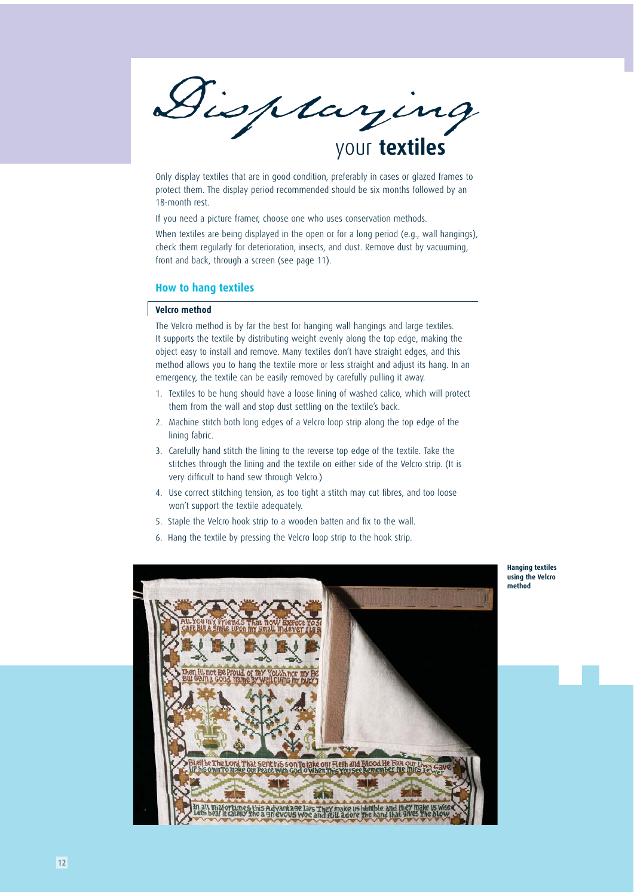

Only display textiles that are in good condition, preferably in cases or glazed frames to protect them. The display period recommended should be six months followed by an 18-month rest.

If you need a picture framer, choose one who uses conservation methods.

When textiles are being displayed in the open or for a long period (e.g., wall hangings), check them regularly for deterioration, insects, and dust. Remove dust by vacuuming, front and back, through a screen (see page 11).

### **How to hang textiles**

# **Velcro method**

The Velcro method is by far the best for hanging wall hangings and large textiles. It supports the textile by distributing weight evenly along the top edge, making the object easy to install and remove. Many textiles don't have straight edges, and this method allows you to hang the textile more or less straight and adjust its hang. In an emergency, the textile can be easily removed by carefully pulling it away.

- 1. Textiles to be hung should have a loose lining of washed calico, which will protect them from the wall and stop dust settling on the textile's back.
- 2. Machine stitch both long edges of a Velcro loop strip along the top edge of the lining fabric.
- 3. Carefully hand stitch the lining to the reverse top edge of the textile. Take the stitches through the lining and the textile on either side of the Velcro strip. (It is very difficult to hand sew through Velcro.)
- 4. Use correct stitching tension, as too tight a stitch may cut fibres, and too loose won't support the textile adequately.
- 5. Staple the Velcro hook strip to a wooden batten and fix to the wall.
- 6. Hang the textile by pressing the Velcro loop strip to the hook strip.



**Hanging textiles using the Velcro method**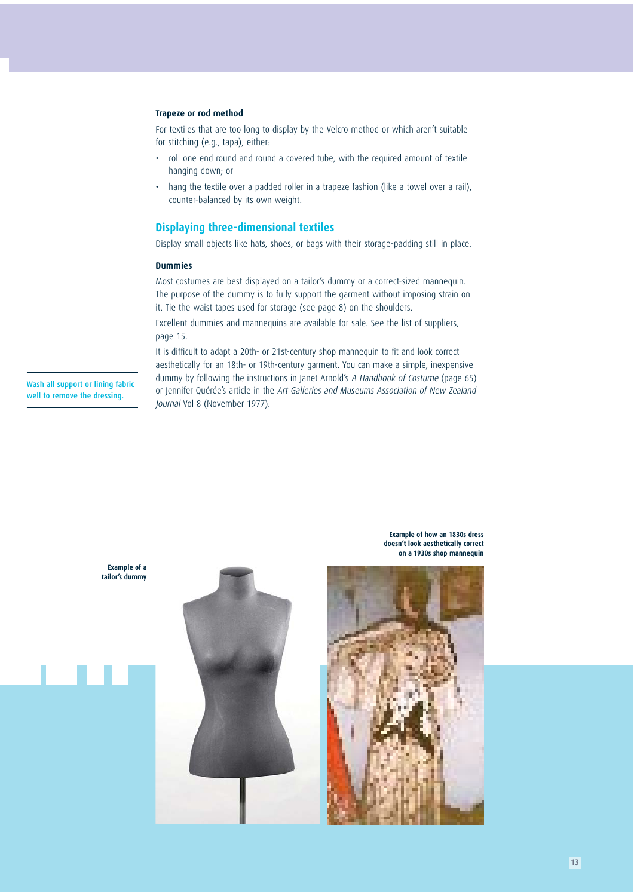### **Trapeze or rod method**

For textiles that are too long to display by the Velcro method or which aren't suitable for stitching (e.g., tapa), either:

- roll one end round and round a covered tube, with the required amount of textile hanging down; or
- hang the textile over a padded roller in a trapeze fashion (like a towel over a rail), counter-balanced by its own weight.

# **Displaying three-dimensional textiles**

Display small objects like hats, shoes, or bags with their storage-padding still in place.

### **Dummies**

Most costumes are best displayed on a tailor's dummy or a correct-sized mannequin. The purpose of the dummy is to fully support the garment without imposing strain on it. Tie the waist tapes used for storage (see page 8) on the shoulders.

Excellent dummies and mannequins are available for sale. See the list of suppliers, page 15.

It is difficult to adapt a 20th- or 21st-century shop mannequin to fit and look correct aesthetically for an 18th- or 19th-century garment. You can make a simple, inexpensive dummy by following the instructions in Janet Arnold's A Handbook of Costume (page 65) or Jennifer Quérée's article in the Art Galleries and Museums Association of New Zealand Journal Vol 8 (November 1977).

Wash all support or lining fabric well to remove the dressing.

> **Example of a tailor's dummy**



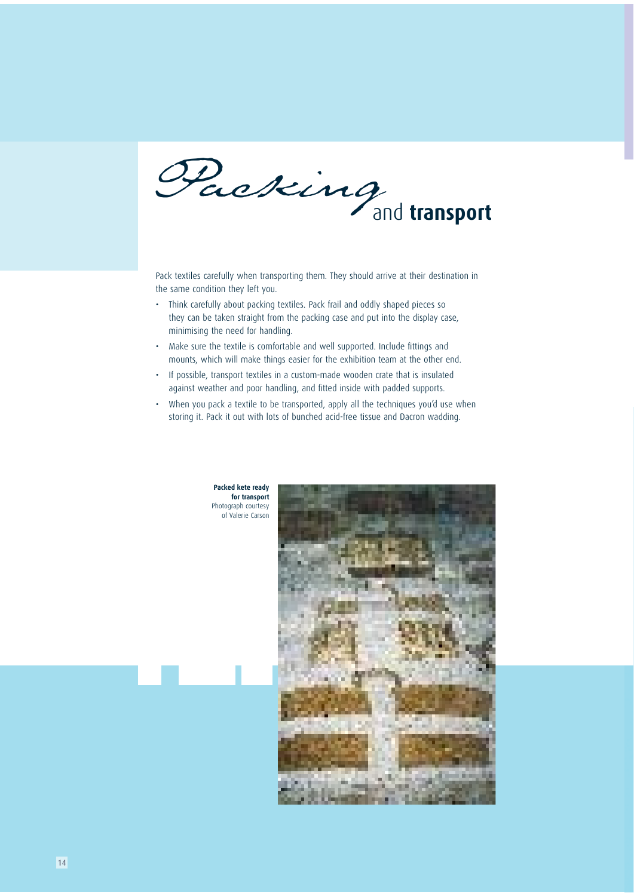and **transport** 

Pack textiles carefully when transporting them. They should arrive at their destination in the same condition they left you.

- Think carefully about packing textiles. Pack frail and oddly shaped pieces so they can be taken straight from the packing case and put into the display case, minimising the need for handling.
- Make sure the textile is comfortable and well supported. Include fittings and mounts, which will make things easier for the exhibition team at the other end.
- If possible, transport textiles in a custom-made wooden crate that is insulated against weather and poor handling, and fitted inside with padded supports.
- When you pack a textile to be transported, apply all the techniques you'd use when storing it. Pack it out with lots of bunched acid-free tissue and Dacron wadding.





14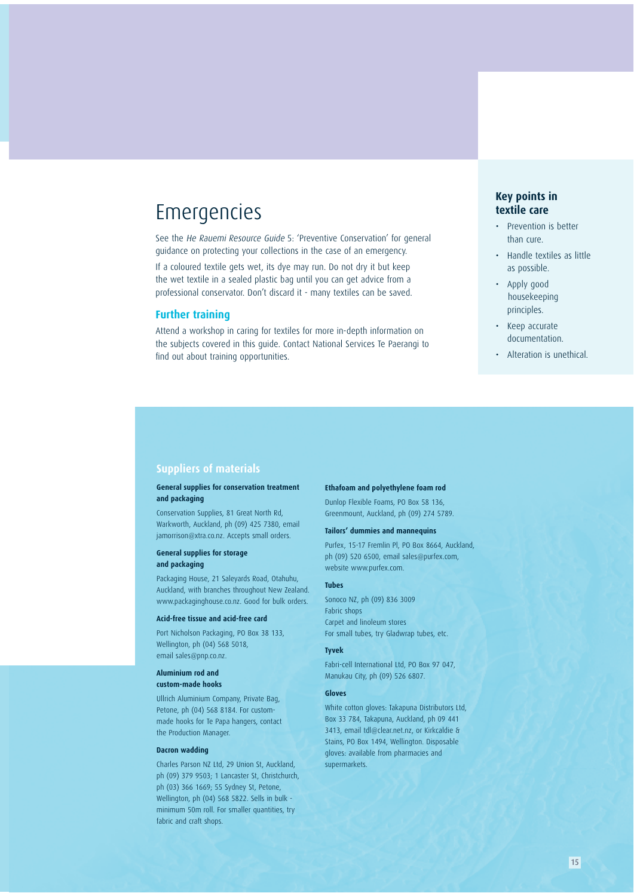# Emergencies

See the He Rauemi Resource Guide 5: 'Preventive Conservation' for general guidance on protecting your collections in the case of an emergency.

If a coloured textile gets wet, its dye may run. Do not dry it but keep the wet textile in a sealed plastic bag until you can get advice from a professional conservator. Don't discard it - many textiles can be saved.

# **Further training**

Attend a workshop in caring for textiles for more in-depth information on the subjects covered in this guide. Contact National Services Te Paerangi to find out about training opportunities.

# **Key points in textile care**

- Prevention is better than cure.
- Handle textiles as little as possible.
- Apply good housekeeping principles.
- Keep accurate documentation.
- Alteration is unethical.

### **Suppliers of materials**

### **General supplies for conservation treatment and packaging**

Conservation Supplies, 81 Great North Rd, Warkworth, Auckland, ph (09) 425 7380, email jamorrison@xtra.co.nz. Accepts small orders.

### **General supplies for storage and packaging**

Packaging House, 21 Saleyards Road, Otahuhu, Auckland, with branches throughout New Zealand. www.packaginghouse.co.nz. Good for bulk orders.

#### **Acid-free tissue and acid-free card**

Port Nicholson Packaging, PO Box 38 133, Wellington, ph (04) 568 5018, email sales@pnp.co.nz.

### **Aluminium rod and custom-made hooks**

Ullrich Aluminium Company, Private Bag, Petone, ph (04) 568 8184. For custommade hooks for Te Papa hangers, contact the Production Manager.

### **Dacron wadding**

Charles Parson NZ Ltd, 29 Union St, Auckland, ph (09) 379 9503; 1 Lancaster St, Christchurch, ph (03) 366 1669; 55 Sydney St, Petone, Wellington, ph (04) 568 5822. Sells in bulk minimum 50m roll. For smaller quantities, try fabric and craft shops.

#### **Ethafoam and polyethylene foam rod**

Dunlop Flexible Foams, PO Box 58 136, Greenmount, Auckland, ph (09) 274 5789.

### **Tailors' dummies and mannequins**

Purfex, 15-17 Fremlin Pl, PO Box 8664, Auckland, ph (09) 520 6500, email sales@purfex.com, website www.purfex.com.

#### **Tubes**

Sonoco NZ, ph (09) 836 3009 Fabric shops Carpet and linoleum stores For small tubes, try Gladwrap tubes, etc.

#### **Tyvek**

Fabri-cell International Ltd, PO Box 97 047, Manukau City, ph (09) 526 6807.

#### **Gloves**

White cotton gloves: Takapuna Distributors Ltd, Box 33 784, Takapuna, Auckland, ph 09 441 3413, email tdl@clear.net.nz, or Kirkcaldie & Stains, PO Box 1494, Wellington. Disposable gloves: available from pharmacies and supermarkets.